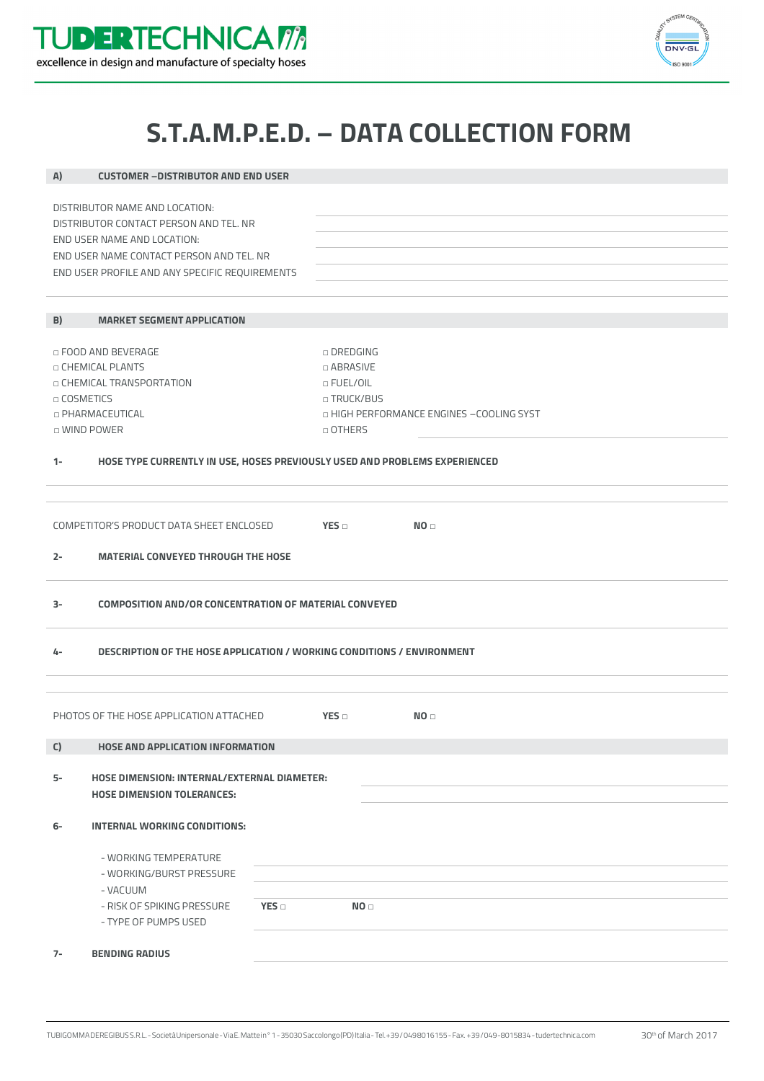



## **S.T.A.M.P.E.D. – DATA COLLECTION FORM**

| A)                                                                 | <b>CUSTOMER - DISTRIBUTOR AND END USER</b>                                                 |     |                                                      |                 |  |  |  |  |  |
|--------------------------------------------------------------------|--------------------------------------------------------------------------------------------|-----|------------------------------------------------------|-----------------|--|--|--|--|--|
|                                                                    |                                                                                            |     |                                                      |                 |  |  |  |  |  |
| DISTRIBUTOR NAME AND LOCATION:                                     |                                                                                            |     |                                                      |                 |  |  |  |  |  |
|                                                                    | DISTRIBUTOR CONTACT PERSON AND TEL. NR<br>END USER NAME AND LOCATION:                      |     |                                                      |                 |  |  |  |  |  |
|                                                                    |                                                                                            |     |                                                      |                 |  |  |  |  |  |
|                                                                    | END USER NAME CONTACT PERSON AND TEL. NR<br>END USER PROFILE AND ANY SPECIFIC REQUIREMENTS |     |                                                      |                 |  |  |  |  |  |
|                                                                    |                                                                                            |     |                                                      |                 |  |  |  |  |  |
|                                                                    |                                                                                            |     |                                                      |                 |  |  |  |  |  |
| B)                                                                 | <b>MARKET SEGMENT APPLICATION</b>                                                          |     |                                                      |                 |  |  |  |  |  |
|                                                                    |                                                                                            |     |                                                      |                 |  |  |  |  |  |
| □ FOOD AND BEVERAGE                                                |                                                                                            |     | $\cap$ DREDGING                                      |                 |  |  |  |  |  |
| □ CHEMICAL PLANTS                                                  |                                                                                            |     | □ ABRASIVE                                           |                 |  |  |  |  |  |
| □ CHEMICAL TRANSPORTATION                                          |                                                                                            |     | $\Box$ FUEL/OIL                                      |                 |  |  |  |  |  |
| □ COSMETICS                                                        |                                                                                            |     | □ TRUCK/BUS                                          |                 |  |  |  |  |  |
| <b>D PHARMACEUTICAL</b><br>□ WIND POWER                            |                                                                                            |     | □ HIGH PERFORMANCE ENGINES -COOLING SYST<br>□ OTHERS |                 |  |  |  |  |  |
|                                                                    |                                                                                            |     |                                                      |                 |  |  |  |  |  |
| $1 -$                                                              | HOSE TYPE CURRENTLY IN USE, HOSES PREVIOUSLY USED AND PROBLEMS EXPERIENCED                 |     |                                                      |                 |  |  |  |  |  |
|                                                                    |                                                                                            |     |                                                      |                 |  |  |  |  |  |
|                                                                    |                                                                                            |     |                                                      |                 |  |  |  |  |  |
| COMPETITOR'S PRODUCT DATA SHEET ENCLOSED<br>YES<br>NO <sub>□</sub> |                                                                                            |     |                                                      |                 |  |  |  |  |  |
|                                                                    |                                                                                            |     |                                                      |                 |  |  |  |  |  |
| $2 -$                                                              | <b>MATERIAL CONVEYED THROUGH THE HOSE</b>                                                  |     |                                                      |                 |  |  |  |  |  |
|                                                                    |                                                                                            |     |                                                      |                 |  |  |  |  |  |
| 3-                                                                 |                                                                                            |     |                                                      |                 |  |  |  |  |  |
|                                                                    | <b>COMPOSITION AND/OR CONCENTRATION OF MATERIAL CONVEYED</b>                               |     |                                                      |                 |  |  |  |  |  |
|                                                                    |                                                                                            |     |                                                      |                 |  |  |  |  |  |
| 4-                                                                 | DESCRIPTION OF THE HOSE APPLICATION / WORKING CONDITIONS / ENVIRONMENT                     |     |                                                      |                 |  |  |  |  |  |
|                                                                    |                                                                                            |     |                                                      |                 |  |  |  |  |  |
|                                                                    |                                                                                            |     |                                                      |                 |  |  |  |  |  |
| PHOTOS OF THE HOSE APPLICATION ATTACHED<br>YES                     |                                                                                            |     |                                                      |                 |  |  |  |  |  |
|                                                                    |                                                                                            |     |                                                      | NO <sub>0</sub> |  |  |  |  |  |
| $\mathsf C)$                                                       | <b>HOSE AND APPLICATION INFORMATION</b>                                                    |     |                                                      |                 |  |  |  |  |  |
|                                                                    |                                                                                            |     |                                                      |                 |  |  |  |  |  |
| 5-                                                                 | <b>HOSE DIMENSION: INTERNAL/EXTERNAL DIAMETER:</b>                                         |     |                                                      |                 |  |  |  |  |  |
|                                                                    | <b>HOSE DIMENSION TOLERANCES:</b>                                                          |     |                                                      |                 |  |  |  |  |  |
|                                                                    |                                                                                            |     |                                                      |                 |  |  |  |  |  |
| 6-                                                                 | INTERNAL WORKING CONDITIONS:                                                               |     |                                                      |                 |  |  |  |  |  |
|                                                                    |                                                                                            |     |                                                      |                 |  |  |  |  |  |
|                                                                    | - WORKING TEMPERATURE                                                                      |     |                                                      |                 |  |  |  |  |  |
|                                                                    | - WORKING/BURST PRESSURE                                                                   |     |                                                      |                 |  |  |  |  |  |
|                                                                    | - VACUUM                                                                                   |     |                                                      |                 |  |  |  |  |  |
|                                                                    | - RISK OF SPIKING PRESSURE<br>- TYPE OF PUMPS USED                                         | YES | NO <sub>D</sub>                                      |                 |  |  |  |  |  |
|                                                                    |                                                                                            |     |                                                      |                 |  |  |  |  |  |
| $7-$                                                               | <b>BENDING RADIUS</b>                                                                      |     |                                                      |                 |  |  |  |  |  |
|                                                                    |                                                                                            |     |                                                      |                 |  |  |  |  |  |